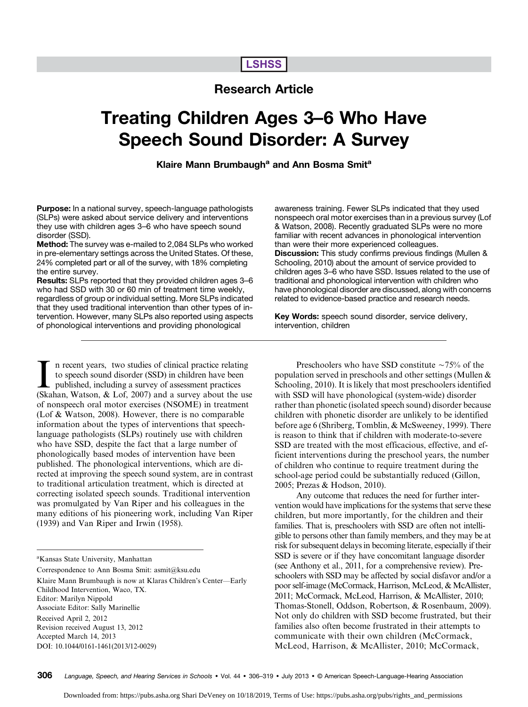# **LSHSS**

# Research Article

# Treating Children Ages 3–6 Who Have Speech Sound Disorder: A Survey

## Klaire Mann Brumbaugh<sup>a</sup> and Ann Bosma Smit<sup>a</sup>

Purpose: In a national survey, speech-language pathologists (SLPs) were asked about service delivery and interventions they use with children ages 3–6 who have speech sound disorder (SSD).

Method: The survey was e-mailed to 2,084 SLPs who worked in pre-elementary settings across the United States. Of these, 24% completed part or all of the survey, with 18% completing the entire survey.

Results: SLPs reported that they provided children ages 3–6 who had SSD with 30 or 60 min of treatment time weekly, regardless of group or individual setting. More SLPs indicated that they used traditional intervention than other types of intervention. However, many SLPs also reported using aspects of phonological interventions and providing phonological

In recent years, two studies of clinical practice relating<br>to speech sound disorder (SSD) in children have been<br>published, including a survey of assessment practices<br>(Skahan, Watson, & Lof, 2007) and a survey about the use n recent years, two studies of clinical practice relating to speech sound disorder (SSD) in children have been published, including a survey of assessment practices of nonspeech oral motor exercises (NSOME) in treatment (Lof & Watson, 2008). However, there is no comparable information about the types of interventions that speechlanguage pathologists (SLPs) routinely use with children who have SSD, despite the fact that a large number of phonologically based modes of intervention have been published. The phonological interventions, which are directed at improving the speech sound system, are in contrast to traditional articulation treatment, which is directed at correcting isolated speech sounds. Traditional intervention was promulgated by Van Riper and his colleagues in the many editions of his pioneering work, including Van Riper (1939) and Van Riper and Irwin (1958).

Correspondence to Ann Bosma Smit: asmit@ksu.edu

Klaire Mann Brumbaugh is now at Klaras Children's Center—Early Childhood Intervention, Waco, TX. Editor: Marilyn Nippold Associate Editor: Sally Marinellie

Received April 2, 2012

Revision received August 13, 2012

Accepted March 14, 2013 DOI: 10.1044/0161-1461(2013/12-0029) awareness training. Fewer SLPs indicated that they used nonspeech oral motor exercises than in a previous survey (Lof & Watson, 2008). Recently graduated SLPs were no more familiar with recent advances in phonological intervention than were their more experienced colleagues. Discussion: This study confirms previous findings (Mullen & Schooling, 2010) about the amount of service provided to children ages 3–6 who have SSD. Issues related to the use of traditional and phonological intervention with children who have phonological disorder are discussed, along with concerns related to evidence-based practice and research needs.

Key Words: speech sound disorder, service delivery, intervention, children

Preschoolers who have SSD constitute  $\sim$ 75% of the population served in preschools and other settings (Mullen & Schooling, 2010). It is likely that most preschoolers identified with SSD will have phonological (system-wide) disorder rather than phonetic (isolated speech sound) disorder because children with phonetic disorder are unlikely to be identified before age 6 (Shriberg, Tomblin, & McSweeney, 1999). There is reason to think that if children with moderate-to-severe SSD are treated with the most efficacious, effective, and efficient interventions during the preschool years, the number of children who continue to require treatment during the school-age period could be substantially reduced (Gillon, 2005; Prezas & Hodson, 2010).

Any outcome that reduces the need for further intervention would have implications for the systems that serve these children, but more importantly, for the children and their families. That is, preschoolers with SSD are often not intelligible to persons other than family members, and they may be at risk for subsequent delays in becoming literate, especially if their SSD is severe or if they have concomitant language disorder (see Anthony et al., 2011, for a comprehensive review). Preschoolers with SSD may be affected by social disfavor and/or a poor self-image (McCormack, Harrison, McLeod, & McAllister, 2011; McCormack, McLeod, Harrison, & McAllister, 2010; Thomas-Stonell, Oddson, Robertson, & Rosenbaum, 2009). Not only do children with SSD become frustrated, but their families also often become frustrated in their attempts to communicate with their own children (McCormack, McLeod, Harrison, & McAllister, 2010; McCormack,

a Kansas State University, Manhattan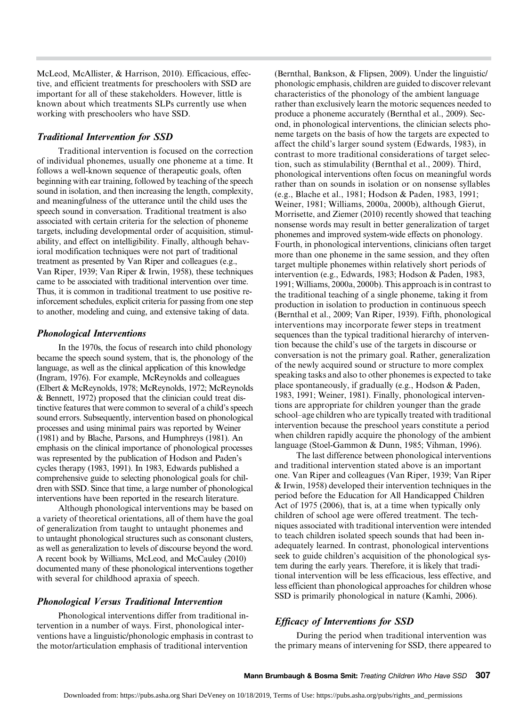McLeod, McAllister, & Harrison, 2010). Efficacious, effective, and efficient treatments for preschoolers with SSD are important for all of these stakeholders. However, little is known about which treatments SLPs currently use when working with preschoolers who have SSD.

#### Traditional Intervention for SSD

Traditional intervention is focused on the correction of individual phonemes, usually one phoneme at a time. It follows a well-known sequence of therapeutic goals, often beginning with ear training, followed by teaching of the speech sound in isolation, and then increasing the length, complexity, and meaningfulness of the utterance until the child uses the speech sound in conversation. Traditional treatment is also associated with certain criteria for the selection of phoneme targets, including developmental order of acquisition, stimulability, and effect on intelligibility. Finally, although behavioral modification techniques were not part of traditional treatment as presented by Van Riper and colleagues (e.g., Van Riper, 1939; Van Riper & Irwin, 1958), these techniques came to be associated with traditional intervention over time. Thus, it is common in traditional treatment to use positive reinforcement schedules, explicit criteria for passing from one step to another, modeling and cuing, and extensive taking of data.

#### Phonological Interventions

In the 1970s, the focus of research into child phonology became the speech sound system, that is, the phonology of the language, as well as the clinical application of this knowledge (Ingram, 1976). For example, McReynolds and colleagues (Elbert & McReynolds, 1978; McReynolds, 1972; McReynolds & Bennett, 1972) proposed that the clinician could treat distinctive features that were common to several of a child's speech sound errors. Subsequently, intervention based on phonological processes and using minimal pairs was reported by Weiner (1981) and by Blache, Parsons, and Humphreys (1981). An emphasis on the clinical importance of phonological processes was represented by the publication of Hodson and Paden's cycles therapy (1983, 1991). In 1983, Edwards published a comprehensive guide to selecting phonological goals for children with SSD. Since that time, a large number of phonological interventions have been reported in the research literature.

Although phonological interventions may be based on a variety of theoretical orientations, all of them have the goal of generalization from taught to untaught phonemes and to untaught phonological structures such as consonant clusters, as well as generalization to levels of discourse beyond the word. A recent book by Williams, McLeod, and McCauley (2010) documented many of these phonological interventions together with several for childhood apraxia of speech.

#### Phonological Versus Traditional Intervention

Phonological interventions differ from traditional intervention in a number of ways. First, phonological interventions have a linguistic/phonologic emphasis in contrast to the motor/articulation emphasis of traditional intervention

(Bernthal, Bankson, & Flipsen, 2009). Under the linguistic/ phonologic emphasis, children are guided to discover relevant characteristics of the phonology of the ambient language rather than exclusively learn the motoric sequences needed to produce a phoneme accurately (Bernthal et al., 2009). Second, in phonological interventions, the clinician selects phoneme targets on the basis of how the targets are expected to affect the child's larger sound system (Edwards, 1983), in contrast to more traditional considerations of target selection, such as stimulability (Bernthal et al., 2009). Third, phonological interventions often focus on meaningful words rather than on sounds in isolation or on nonsense syllables (e.g., Blache et al., 1981; Hodson & Paden, 1983, 1991; Weiner, 1981; Williams, 2000a, 2000b), although Gierut, Morrisette, and Ziemer (2010) recently showed that teaching nonsense words may result in better generalization of target phonemes and improved system-wide effects on phonology. Fourth, in phonological interventions, clinicians often target more than one phoneme in the same session, and they often target multiple phonemes within relatively short periods of intervention (e.g., Edwards, 1983; Hodson & Paden, 1983, 1991; Williams, 2000a, 2000b). This approach is in contrast to the traditional teaching of a single phoneme, taking it from production in isolation to production in continuous speech (Bernthal et al., 2009; Van Riper, 1939). Fifth, phonological interventions may incorporate fewer steps in treatment sequences than the typical traditional hierarchy of intervention because the child's use of the targets in discourse or conversation is not the primary goal. Rather, generalization of the newly acquired sound or structure to more complex speaking tasks and also to other phonemes is expected to take place spontaneously, if gradually (e.g., Hodson & Paden, 1983, 1991; Weiner, 1981). Finally, phonological interventions are appropriate for children younger than the grade school–age children who are typically treated with traditional intervention because the preschool years constitute a period when children rapidly acquire the phonology of the ambient language (Stoel-Gammon & Dunn, 1985; Vihman, 1996).

The last difference between phonological interventions and traditional intervention stated above is an important one. Van Riper and colleagues (Van Riper, 1939; Van Riper & Irwin, 1958) developed their intervention techniques in the period before the Education for All Handicapped Children Act of 1975 (2006), that is, at a time when typically only children of school age were offered treatment. The techniques associated with traditional intervention were intended to teach children isolated speech sounds that had been inadequately learned. In contrast, phonological interventions seek to guide children's acquisition of the phonological system during the early years. Therefore, it is likely that traditional intervention will be less efficacious, less effective, and less efficient than phonological approaches for children whose SSD is primarily phonological in nature (Kamhi, 2006).

#### Efficacy of Interventions for SSD

During the period when traditional intervention was the primary means of intervening for SSD, there appeared to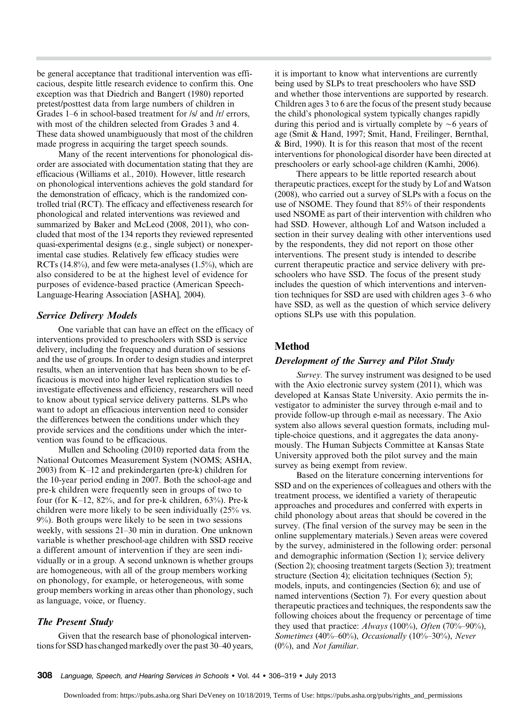be general acceptance that traditional intervention was efficacious, despite little research evidence to confirm this. One exception was that Diedrich and Bangert (1980) reported pretest/posttest data from large numbers of children in Grades 1–6 in school-based treatment for /s/ and /r/ errors, with most of the children selected from Grades 3 and 4. These data showed unambiguously that most of the children made progress in acquiring the target speech sounds.

Many of the recent interventions for phonological disorder are associated with documentation stating that they are efficacious (Williams et al., 2010). However, little research on phonological interventions achieves the gold standard for the demonstration of efficacy, which is the randomized controlled trial (RCT). The efficacy and effectiveness research for phonological and related interventions was reviewed and summarized by Baker and McLeod (2008, 2011), who concluded that most of the 134 reports they reviewed represented quasi-experimental designs (e.g., single subject) or nonexperimental case studies. Relatively few efficacy studies were RCTs (14.8%), and few were meta-analyses (1.5%), which are also considered to be at the highest level of evidence for purposes of evidence-based practice (American Speech-Language-Hearing Association [ASHA], 2004).

#### Service Delivery Models

One variable that can have an effect on the efficacy of interventions provided to preschoolers with SSD is service delivery, including the frequency and duration of sessions and the use of groups. In order to design studies and interpret results, when an intervention that has been shown to be efficacious is moved into higher level replication studies to investigate effectiveness and efficiency, researchers will need to know about typical service delivery patterns. SLPs who want to adopt an efficacious intervention need to consider the differences between the conditions under which they provide services and the conditions under which the intervention was found to be efficacious.

Mullen and Schooling (2010) reported data from the National Outcomes Measurement System (NOMS; ASHA, 2003) from K–12 and prekindergarten (pre-k) children for the 10-year period ending in 2007. Both the school-age and pre-k children were frequently seen in groups of two to four (for K–12, 82%, and for pre-k children, 63%). Pre-k children were more likely to be seen individually (25% vs. 9%). Both groups were likely to be seen in two sessions weekly, with sessions 21–30 min in duration. One unknown variable is whether preschool-age children with SSD receive a different amount of intervention if they are seen individually or in a group. A second unknown is whether groups are homogeneous, with all of the group members working on phonology, for example, or heterogeneous, with some group members working in areas other than phonology, such as language, voice, or fluency.

#### The Present Study

Given that the research base of phonological interventions for SSD has changed markedly over the past 30–40 years, it is important to know what interventions are currently being used by SLPs to treat preschoolers who have SSD and whether those interventions are supported by research. Children ages 3 to 6 are the focus of the present study because the child's phonological system typically changes rapidly during this period and is virtually complete by  $\sim$  6 years of age (Smit & Hand, 1997; Smit, Hand, Freilinger, Bernthal, & Bird, 1990). It is for this reason that most of the recent interventions for phonological disorder have been directed at preschoolers or early school-age children (Kamhi, 2006).

There appears to be little reported research about therapeutic practices, except for the study by Lof and Watson (2008), who carried out a survey of SLPs with a focus on the use of NSOME. They found that 85% of their respondents used NSOME as part of their intervention with children who had SSD. However, although Lof and Watson included a section in their survey dealing with other interventions used by the respondents, they did not report on those other interventions. The present study is intended to describe current therapeutic practice and service delivery with preschoolers who have SSD. The focus of the present study includes the question of which interventions and intervention techniques for SSD are used with children ages 3–6 who have SSD, as well as the question of which service delivery options SLPs use with this population.

### Method

#### Development of the Survey and Pilot Study

Survey. The survey instrument was designed to be used with the Axio electronic survey system (2011), which was developed at Kansas State University. Axio permits the investigator to administer the survey through e-mail and to provide follow-up through e-mail as necessary. The Axio system also allows several question formats, including multiple-choice questions, and it aggregates the data anonymously. The Human Subjects Committee at Kansas State University approved both the pilot survey and the main survey as being exempt from review.

Based on the literature concerning interventions for SSD and on the experiences of colleagues and others with the treatment process, we identified a variety of therapeutic approaches and procedures and conferred with experts in child phonology about areas that should be covered in the survey. (The final version of the survey may be seen in the online supplementary materials.) Seven areas were covered by the survey, administered in the following order: personal and demographic information (Section 1); service delivery (Section 2); choosing treatment targets (Section 3); treatment structure (Section 4); elicitation techniques (Section 5); models, inputs, and contingencies (Section 6); and use of named interventions (Section 7). For every question about therapeutic practices and techniques, the respondents saw the following choices about the frequency or percentage of time they used that practice: Always (100%), Often (70%–90%), Sometimes (40%–60%), Occasionally (10%–30%), Never  $(0\%)$ , and *Not familiar*.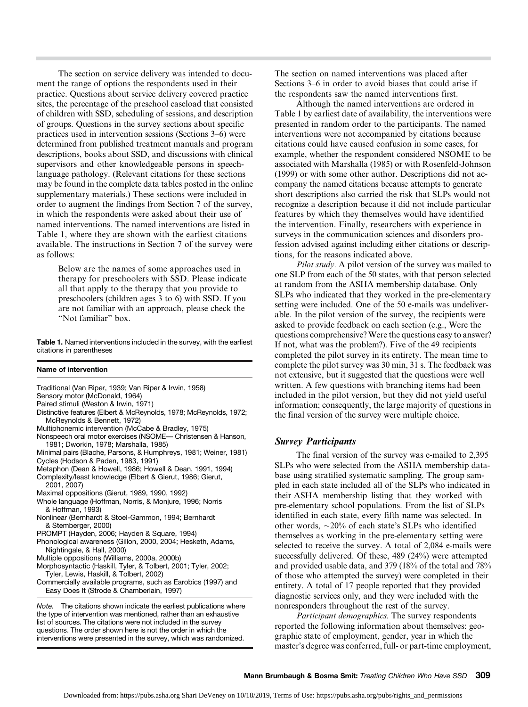The section on service delivery was intended to document the range of options the respondents used in their practice. Questions about service delivery covered practice sites, the percentage of the preschool caseload that consisted of children with SSD, scheduling of sessions, and description of groups. Questions in the survey sections about specific practices used in intervention sessions (Sections 3–6) were determined from published treatment manuals and program descriptions, books about SSD, and discussions with clinical supervisors and other knowledgeable persons in speechlanguage pathology. (Relevant citations for these sections may be found in the complete data tables posted in the online supplementary materials.) These sections were included in order to augment the findings from Section 7 of the survey, in which the respondents were asked about their use of named interventions. The named interventions are listed in Table 1, where they are shown with the earliest citations available. The instructions in Section 7 of the survey were as follows:

> Below are the names of some approaches used in therapy for preschoolers with SSD. Please indicate all that apply to the therapy that you provide to preschoolers (children ages 3 to 6) with SSD. If you are not familiar with an approach, please check the "Not familiar" box.

Table 1. Named interventions included in the survey, with the earliest citations in parentheses

#### Name of intervention

- Traditional (Van Riper, 1939; Van Riper & Irwin, 1958)
- Sensory motor (McDonald, 1964)
- Paired stimuli (Weston & Irwin, 1971)
- Distinctive features (Elbert & McReynolds, 1978; McReynolds, 1972; McReynolds & Bennett, 1972)
- Multiphonemic intervention (McCabe & Bradley, 1975)
- Nonspeech oral motor exercises (NSOME— Christensen & Hanson, 1981; Dworkin, 1978; Marshalla, 1985)
- Minimal pairs (Blache, Parsons, & Humphreys, 1981; Weiner, 1981) Cycles (Hodson & Paden, 1983, 1991)
- Metaphon (Dean & Howell, 1986; Howell & Dean, 1991, 1994)
- Complexity/least knowledge (Elbert & Gierut, 1986; Gierut, 2001, 2007)
- Maximal oppositions (Gierut, 1989, 1990, 1992)
- Whole language (Hoffman, Norris, & Monjure, 1996; Norris & Hoffman, 1993)
- Nonlinear (Bernhardt & Stoel-Gammon, 1994; Bernhardt & Stemberger, 2000)
- PROMPT (Hayden, 2006; Hayden & Square, 1994)
- Phonological awareness (Gillon, 2000, 2004; Hesketh, Adams, Nightingale, & Hall, 2000)
- Multiple oppositions (Williams, 2000a, 2000b)
- Morphosyntactic (Haskill, Tyler, & Tolbert, 2001; Tyler, 2002; Tyler, Lewis, Haskill, & Tolbert, 2002)
- Commercially available programs, such as Earobics (1997) and Easy Does It (Strode & Chamberlain, 1997)

Note. The citations shown indicate the earliest publications where the type of intervention was mentioned, rather than an exhaustive list of sources. The citations were not included in the survey questions. The order shown here is not the order in which the interventions were presented in the survey, which was randomized.

The section on named interventions was placed after Sections 3–6 in order to avoid biases that could arise if the respondents saw the named interventions first.

Although the named interventions are ordered in Table 1 by earliest date of availability, the interventions were presented in random order to the participants. The named interventions were not accompanied by citations because citations could have caused confusion in some cases, for example, whether the respondent considered NSOME to be associated with Marshalla (1985) or with Rosenfeld-Johnson (1999) or with some other author. Descriptions did not accompany the named citations because attempts to generate short descriptions also carried the risk that SLPs would not recognize a description because it did not include particular features by which they themselves would have identified the intervention. Finally, researchers with experience in surveys in the communication sciences and disorders profession advised against including either citations or descriptions, for the reasons indicated above.

Pilot study. A pilot version of the survey was mailed to one SLP from each of the 50 states, with that person selected at random from the ASHA membership database. Only SLPs who indicated that they worked in the pre-elementary setting were included. One of the 50 e-mails was undeliverable. In the pilot version of the survey, the recipients were asked to provide feedback on each section (e.g., Were the questions comprehensive? Were the questions easy to answer? If not, what was the problem?). Five of the 49 recipients completed the pilot survey in its entirety. The mean time to complete the pilot survey was 30 min, 31 s. The feedback was not extensive, but it suggested that the questions were well written. A few questions with branching items had been included in the pilot version, but they did not yield useful information; consequently, the large majority of questions in the final version of the survey were multiple choice.

#### Survey Participants

The final version of the survey was e-mailed to 2,395 SLPs who were selected from the ASHA membership database using stratified systematic sampling. The group sampled in each state included all of the SLPs who indicated in their ASHA membership listing that they worked with pre-elementary school populations. From the list of SLPs identified in each state, every fifth name was selected. In other words,  $\sim$ 20% of each state's SLPs who identified themselves as working in the pre-elementary setting were selected to receive the survey. A total of 2,084 e-mails were successfully delivered. Of these, 489 (24%) were attempted and provided usable data, and 379 (18% of the total and 78% of those who attempted the survey) were completed in their entirety. A total of 17 people reported that they provided diagnostic services only, and they were included with the nonresponders throughout the rest of the survey.

Participant demographics. The survey respondents reported the following information about themselves: geographic state of employment, gender, year in which the master's degree was conferred, full- or part-time employment,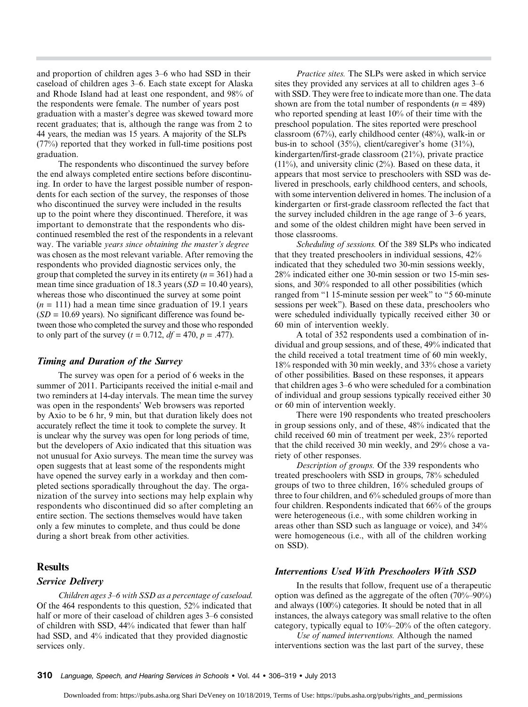and proportion of children ages 3–6 who had SSD in their caseload of children ages 3–6. Each state except for Alaska and Rhode Island had at least one respondent, and 98% of the respondents were female. The number of years post graduation with a master's degree was skewed toward more recent graduates; that is, although the range was from 2 to 44 years, the median was 15 years. A majority of the SLPs (77%) reported that they worked in full-time positions post graduation.

The respondents who discontinued the survey before the end always completed entire sections before discontinuing. In order to have the largest possible number of respondents for each section of the survey, the responses of those who discontinued the survey were included in the results up to the point where they discontinued. Therefore, it was important to demonstrate that the respondents who discontinued resembled the rest of the respondents in a relevant way. The variable years since obtaining the master's degree was chosen as the most relevant variable. After removing the respondents who provided diagnostic services only, the group that completed the survey in its entirety  $(n = 361)$  had a mean time since graduation of 18.3 years ( $SD = 10.40$  years), whereas those who discontinued the survey at some point  $(n = 111)$  had a mean time since graduation of 19.1 years  $(SD = 10.69$  years). No significant difference was found between those who completed the survey and those who responded to only part of the survey ( $t = 0.712$ ,  $df = 470$ ,  $p = .477$ ).

#### Timing and Duration of the Survey

The survey was open for a period of 6 weeks in the summer of 2011. Participants received the initial e-mail and two reminders at 14-day intervals. The mean time the survey was open in the respondents' Web browsers was reported by Axio to be 6 hr, 9 min, but that duration likely does not accurately reflect the time it took to complete the survey. It is unclear why the survey was open for long periods of time, but the developers of Axio indicated that this situation was not unusual for Axio surveys. The mean time the survey was open suggests that at least some of the respondents might have opened the survey early in a workday and then completed sections sporadically throughout the day. The organization of the survey into sections may help explain why respondents who discontinued did so after completing an entire section. The sections themselves would have taken only a few minutes to complete, and thus could be done during a short break from other activities.

### **Results**

#### Service Delivery

Children ages 3–6 with SSD as a percentage of caseload. Of the 464 respondents to this question, 52% indicated that half or more of their caseload of children ages 3–6 consisted of children with SSD, 44% indicated that fewer than half had SSD, and 4% indicated that they provided diagnostic services only.

Practice sites. The SLPs were asked in which service sites they provided any services at all to children ages 3–6 with SSD. They were free to indicate more than one. The data shown are from the total number of respondents  $(n = 489)$ who reported spending at least 10% of their time with the preschool population. The sites reported were preschool classroom (67%), early childhood center (48%), walk-in or bus-in to school (35%), client/caregiver's home (31%), kindergarten/first-grade classroom (21%), private practice  $(11\%)$ , and university clinic  $(2\%)$ . Based on these data, it appears that most service to preschoolers with SSD was delivered in preschools, early childhood centers, and schools, with some intervention delivered in homes. The inclusion of a kindergarten or first-grade classroom reflected the fact that the survey included children in the age range of 3–6 years, and some of the oldest children might have been served in those classrooms.

Scheduling of sessions. Of the 389 SLPs who indicated that they treated preschoolers in individual sessions, 42% indicated that they scheduled two 30-min sessions weekly, 28% indicated either one 30-min session or two 15-min sessions, and 30% responded to all other possibilities (which ranged from "1 15-minute session per week" to "5 60-minute sessions per week"). Based on these data, preschoolers who were scheduled individually typically received either 30 or 60 min of intervention weekly.

A total of 352 respondents used a combination of individual and group sessions, and of these, 49% indicated that the child received a total treatment time of 60 min weekly, 18% responded with 30 min weekly, and 33% chose a variety of other possibilities. Based on these responses, it appears that children ages 3–6 who were scheduled for a combination of individual and group sessions typically received either 30 or 60 min of intervention weekly.

There were 190 respondents who treated preschoolers in group sessions only, and of these, 48% indicated that the child received 60 min of treatment per week, 23% reported that the child received 30 min weekly, and 29% chose a variety of other responses.

Description of groups. Of the 339 respondents who treated preschoolers with SSD in groups, 78% scheduled groups of two to three children, 16% scheduled groups of three to four children, and 6% scheduled groups of more than four children. Respondents indicated that 66% of the groups were heterogeneous (i.e., with some children working in areas other than SSD such as language or voice), and 34% were homogeneous (i.e., with all of the children working on SSD).

#### Interventions Used With Preschoolers With SSD

In the results that follow, frequent use of a therapeutic option was defined as the aggregate of the often (70%–90%) and always (100%) categories. It should be noted that in all instances, the always category was small relative to the often category, typically equal to 10%–20% of the often category.

Use of named interventions. Although the named interventions section was the last part of the survey, these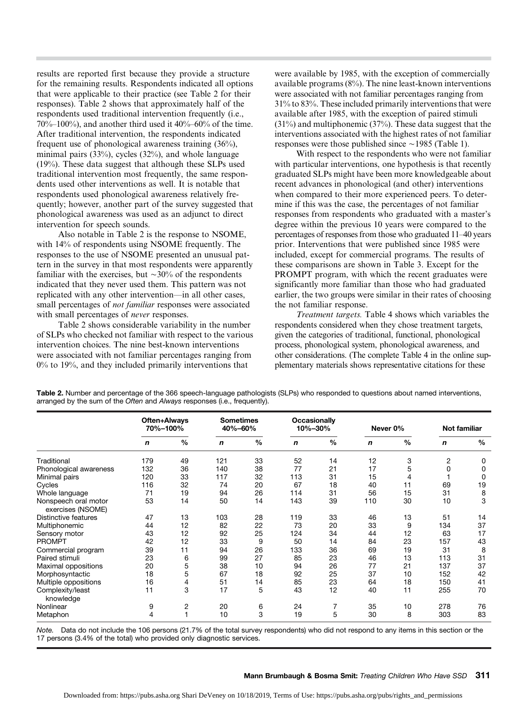results are reported first because they provide a structure for the remaining results. Respondents indicated all options that were applicable to their practice (see Table 2 for their responses). Table 2 shows that approximately half of the respondents used traditional intervention frequently (i.e.,  $70\%$ – $100\%$ ), and another third used it  $40\%$ – $60\%$  of the time. After traditional intervention, the respondents indicated frequent use of phonological awareness training (36%), minimal pairs (33%), cycles (32%), and whole language (19%). These data suggest that although these SLPs used traditional intervention most frequently, the same respondents used other interventions as well. It is notable that respondents used phonological awareness relatively frequently; however, another part of the survey suggested that phonological awareness was used as an adjunct to direct intervention for speech sounds.

Also notable in Table 2 is the response to NSOME, with 14% of respondents using NSOME frequently. The responses to the use of NSOME presented an unusual pattern in the survey in that most respondents were apparently familiar with the exercises, but  $\sim$ 30% of the respondents indicated that they never used them. This pattern was not replicated with any other intervention—in all other cases, small percentages of not familiar responses were associated with small percentages of never responses.

Table 2 shows considerable variability in the number of SLPs who checked not familiar with respect to the various intervention choices. The nine best-known interventions were associated with not familiar percentages ranging from 0% to 19%, and they included primarily interventions that

were available by 1985, with the exception of commercially available programs (8%). The nine least-known interventions were associated with not familiar percentages ranging from 31% to 83%. These included primarily interventions that were available after 1985, with the exception of paired stimuli (31%) and multiphonemic (37%). These data suggest that the interventions associated with the highest rates of not familiar responses were those published since  $\sim$ 1985 (Table 1).

With respect to the respondents who were not familiar with particular interventions, one hypothesis is that recently graduated SLPs might have been more knowledgeable about recent advances in phonological (and other) interventions when compared to their more experienced peers. To determine if this was the case, the percentages of not familiar responses from respondents who graduated with a master's degree within the previous 10 years were compared to the percentages of responses from those who graduated 11–40 years prior. Interventions that were published since 1985 were included, except for commercial programs. The results of these comparisons are shown in Table 3. Except for the PROMPT program, with which the recent graduates were significantly more familiar than those who had graduated earlier, the two groups were similar in their rates of choosing the not familiar response.

Treatment targets. Table 4 shows which variables the respondents considered when they chose treatment targets, given the categories of traditional, functional, phonological process, phonological system, phonological awareness, and other considerations. (The complete Table 4 in the online supplementary materials shows representative citations for these

|                                           | Often+Always<br>70%-100% |               | <b>Sometimes</b><br>40%-60% |               | <b>Occasionally</b><br>10%-30% |               | Never 0% |               | <b>Not familiar</b> |      |
|-------------------------------------------|--------------------------|---------------|-----------------------------|---------------|--------------------------------|---------------|----------|---------------|---------------------|------|
|                                           | n                        | $\frac{0}{0}$ | $\mathbf n$                 | $\frac{0}{0}$ | n                              | $\frac{0}{0}$ | n        | $\frac{0}{0}$ | n                   | $\%$ |
| Traditional                               | 179                      | 49            | 121                         | 33            | 52                             | 14            | 12       | 3             | 2                   | 0    |
| Phonological awareness                    | 132                      | 36            | 140                         | 38            | 77                             | 21            | 17       | 5             | 0                   | 0    |
| Minimal pairs                             | 120                      | 33            | 117                         | 32            | 113                            | 31            | 15       |               |                     | 0    |
| Cycles                                    | 116                      | 32            | 74                          | 20            | 67                             | 18            | 40       | 11            | 69                  | 19   |
| Whole language                            | 71                       | 19            | 94                          | 26            | 114                            | 31            | 56       | 15            | 31                  | 8    |
| Nonspeech oral motor<br>exercises (NSOME) | 53                       | 14            | 50                          | 14            | 143                            | 39            | 110      | 30            | 10                  | 3    |
| Distinctive features                      | 47                       | 13            | 103                         | 28            | 119                            | 33            | 46       | 13            | 51                  | 14   |
| Multiphonemic                             | 44                       | 12            | 82                          | 22            | 73                             | 20            | 33       | 9             | 134                 | 37   |
| Sensory motor                             | 43                       | 12            | 92                          | 25            | 124                            | 34            | 44       | 12            | 63                  | 17   |
| <b>PROMPT</b>                             | 42                       | 12            | 33                          | 9             | 50                             | 14            | 84       | 23            | 157                 | 43   |
| Commercial program                        | 39                       | 11            | 94                          | 26            | 133                            | 36            | 69       | 19            | 31                  | 8    |
| Paired stimuli                            | 23                       | 6             | 99                          | 27            | 85                             | 23            | 46       | 13            | 113                 | 31   |
| Maximal oppositions                       | 20                       | 5             | 38                          | 10            | 94                             | 26            | 77       | 21            | 137                 | 37   |
| Morphosyntactic                           | 18                       | 5             | 67                          | 18            | 92                             | 25            | 37       | 10            | 152                 | 42   |
| Multiple oppositions                      | 16                       | 4             | 51                          | 14            | 85                             | 23            | 64       | 18            | 150                 | 41   |
| Complexity/least<br>knowledge             | 11                       | 3             | 17                          | 5             | 43                             | 12            | 40       | 11            | 255                 | 70   |
| Nonlinear                                 | 9                        | 2             | 20                          | 6             | 24                             |               | 35       | 10            | 278                 | 76   |
| Metaphon                                  | 4                        |               | 10                          | 3             | 19                             | 5             | 30       | 8             | 303                 | 83   |

Table 2. Number and percentage of the 366 speech-language pathologists (SLPs) who responded to questions about named interventions, arranged by the sum of the Often and Always responses (i.e., frequently).

Note. Data do not include the 106 persons (21.7% of the total survey respondents) who did not respond to any items in this section or the 17 persons (3.4% of the total) who provided only diagnostic services.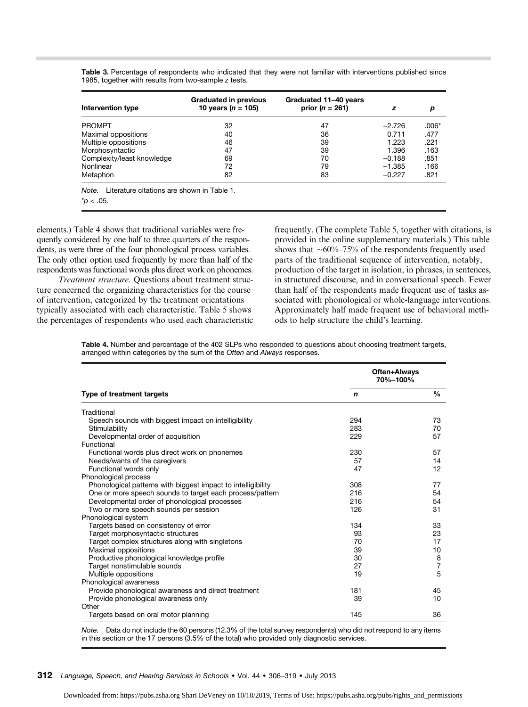| Intervention type                                   | <b>Graduated in previous</b><br>10 years ( $n = 105$ ) | Graduated 11-40 years<br>prior $(n = 261)$ | z        | р     |
|-----------------------------------------------------|--------------------------------------------------------|--------------------------------------------|----------|-------|
| <b>PROMPT</b>                                       | 32                                                     | 47                                         | $-2.726$ | .006* |
| Maximal oppositions                                 | 40                                                     | 36                                         | 0.711    | .477  |
| Multiple oppositions                                | 46                                                     | 39                                         | 1.223    | .221  |
| Morphosyntactic                                     | 47                                                     | 39                                         | 1.396    | .163  |
| Complexity/least knowledge                          | 69                                                     | 70                                         | $-0.188$ | .851  |
| Nonlinear                                           | 72                                                     | 79                                         | $-1.385$ | .166  |
| Metaphon                                            | 82                                                     | 83                                         | $-0.227$ | .821  |
| Literature citations are shown in Table 1.<br>Note. |                                                        |                                            |          |       |
| $p < .05$ .                                         |                                                        |                                            |          |       |

Table 3. Percentage of respondents who indicated that they were not familiar with interventions published since 1985, together with results from two-sample z tests.

elements.) Table 4 shows that traditional variables were frequently considered by one half to three quarters of the respondents, as were three of the four phonological process variables. The only other option used frequently by more than half of the respondents was functional words plus direct work on phonemes.

Treatment structure. Questions about treatment structure concerned the organizing characteristics for the course of intervention, categorized by the treatment orientations typically associated with each characteristic. Table 5 shows the percentages of respondents who used each characteristic frequently. (The complete Table 5, together with citations, is provided in the online supplementary materials.) This table shows that  $\sim 60\% - 75\%$  of the respondents frequently used parts of the traditional sequence of intervention, notably, production of the target in isolation, in phrases, in sentences, in structured discourse, and in conversational speech. Fewer than half of the respondents made frequent use of tasks associated with phonological or whole-language interventions. Approximately half made frequent use of behavioral methods to help structure the child's learning.

Table 4. Number and percentage of the 402 SLPs who responded to questions about choosing treatment targets, arranged within categories by the sum of the Often and Always responses.

|                                                              | Often+Always<br>70%-100% |                |  |
|--------------------------------------------------------------|--------------------------|----------------|--|
| Type of treatment targets                                    | n                        | $\frac{0}{0}$  |  |
| Traditional                                                  |                          |                |  |
| Speech sounds with biggest impact on intelligibility         | 294                      | 73             |  |
| Stimulability                                                | 283                      | 70             |  |
| Developmental order of acquisition                           | 229                      | 57             |  |
| Functional                                                   |                          |                |  |
| Functional words plus direct work on phonemes                | 230                      | 57             |  |
| Needs/wants of the caregivers                                | 57                       | 14             |  |
| Functional words only                                        | 47                       | 12             |  |
| Phonological process                                         |                          |                |  |
| Phonological patterns with biggest impact to intelligibility | 308                      | 77             |  |
| One or more speech sounds to target each process/pattern     | 216                      | 54             |  |
| Developmental order of phonological processes                | 216                      | 54             |  |
| Two or more speech sounds per session                        | 126                      | 31             |  |
| Phonological system                                          |                          |                |  |
| Targets based on consistency of error                        | 134                      | 33             |  |
| Target morphosyntactic structures                            | 93                       | 23             |  |
| Target complex structures along with singletons              | 70                       | 17             |  |
| Maximal oppositions                                          | 39                       | 10             |  |
| Productive phonological knowledge profile                    | 30                       | 8              |  |
| Target nonstimulable sounds                                  | 27                       | $\overline{7}$ |  |
| Multiple oppositions                                         | 19                       | 5              |  |
| Phonological awareness                                       |                          |                |  |
| Provide phonological awareness and direct treatment          | 181                      | 45             |  |
| Provide phonological awareness only                          | 39                       | 10             |  |
| Other                                                        |                          |                |  |
| Targets based on oral motor planning                         | 145                      | 36             |  |

Note. Data do not include the 60 persons (12.3% of the total survey respondents) who did not respond to any items in this section or the 17 persons (3.5% of the total) who provided only diagnostic services.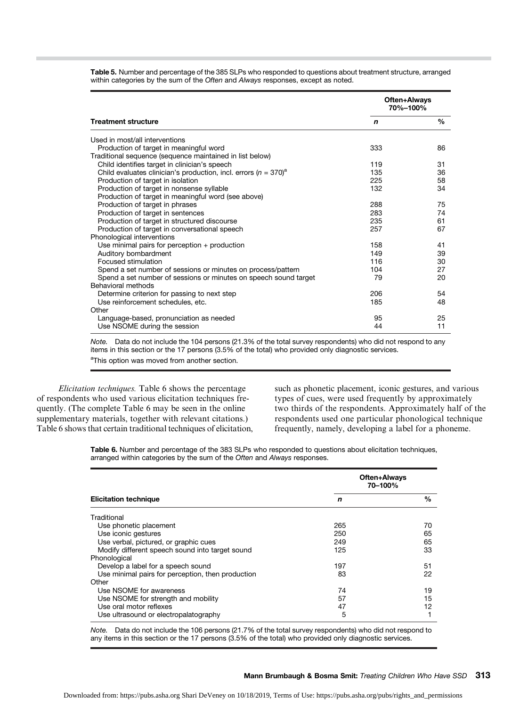|                                                                                 | Often+Always<br>70%-100% |               |
|---------------------------------------------------------------------------------|--------------------------|---------------|
| <b>Treatment structure</b>                                                      | n                        | $\frac{0}{0}$ |
| Used in most/all interventions                                                  |                          |               |
| Production of target in meaningful word                                         | 333                      | 86            |
| Traditional sequence (sequence maintained in list below)                        |                          |               |
| Child identifies target in clinician's speech                                   | 119                      | 31            |
| Child evaluates clinician's production, incl. errors ( $n = 370$ ) <sup>a</sup> | 135                      | 36            |
| Production of target in isolation                                               | 225                      | 58            |
| Production of target in nonsense syllable                                       | 132                      | 34            |
| Production of target in meaningful word (see above)                             |                          |               |
| Production of target in phrases                                                 | 288                      | 75            |
| Production of target in sentences                                               | 283                      | 74            |
| Production of target in structured discourse                                    | 235                      | 61            |
| Production of target in conversational speech                                   | 257                      | 67            |
| Phonological interventions                                                      |                          |               |
| Use minimal pairs for perception $+$ production                                 | 158                      | 41            |
| Auditory bombardment                                                            | 149                      | 39            |
| Focused stimulation                                                             | 116                      | 30            |
| Spend a set number of sessions or minutes on process/pattern                    | 104                      | 27            |
| Spend a set number of sessions or minutes on speech sound target                | 79                       | 20            |
| Behavioral methods                                                              |                          |               |
| Determine criterion for passing to next step                                    | 206                      | 54            |
| Use reinforcement schedules, etc.                                               | 185                      | 48            |
| Other                                                                           |                          |               |
| Language-based, pronunciation as needed                                         | 95                       | 25            |
| Use NSOME during the session                                                    | 44                       | 11            |

Table 5. Number and percentage of the 385 SLPs who responded to questions about treatment structure, arranged within categories by the sum of the Often and Always responses, except as noted.

Note. Data do not include the 104 persons (21.3% of the total survey respondents) who did not respond to any items in this section or the 17 persons (3.5% of the total) who provided only diagnostic services. <sup>a</sup>This option was moved from another section.

Elicitation techniques. Table 6 shows the percentage of respondents who used various elicitation techniques frequently. (The complete Table 6 may be seen in the online supplementary materials, together with relevant citations.) Table 6 shows that certain traditional techniques of elicitation, such as phonetic placement, iconic gestures, and various types of cues, were used frequently by approximately two thirds of the respondents. Approximately half of the respondents used one particular phonological technique frequently, namely, developing a label for a phoneme.

Table 6. Number and percentage of the 383 SLPs who responded to questions about elicitation techniques, arranged within categories by the sum of the Often and Always responses.

|                                                   | Often+Always<br>70–100% |      |  |
|---------------------------------------------------|-------------------------|------|--|
| <b>Elicitation technique</b>                      | n                       | $\%$ |  |
| Traditional                                       |                         |      |  |
| Use phonetic placement                            | 265                     | 70   |  |
| Use iconic gestures                               | 250                     | 65   |  |
| Use verbal, pictured, or graphic cues             | 249                     | 65   |  |
| Modify different speech sound into target sound   | 125                     | 33   |  |
| Phonological                                      |                         |      |  |
| Develop a label for a speech sound                | 197                     | 51   |  |
| Use minimal pairs for perception, then production | 83                      | 22   |  |
| Other                                             |                         |      |  |
| Use NSOME for awareness                           | 74                      | 19   |  |
| Use NSOME for strength and mobility               | 57                      | 15   |  |
| Use oral motor reflexes                           | 47                      | 12   |  |
| Use ultrasound or electropalatography             | 5                       |      |  |

Note. Data do not include the 106 persons (21.7% of the total survey respondents) who did not respond to any items in this section or the 17 persons (3.5% of the total) who provided only diagnostic services.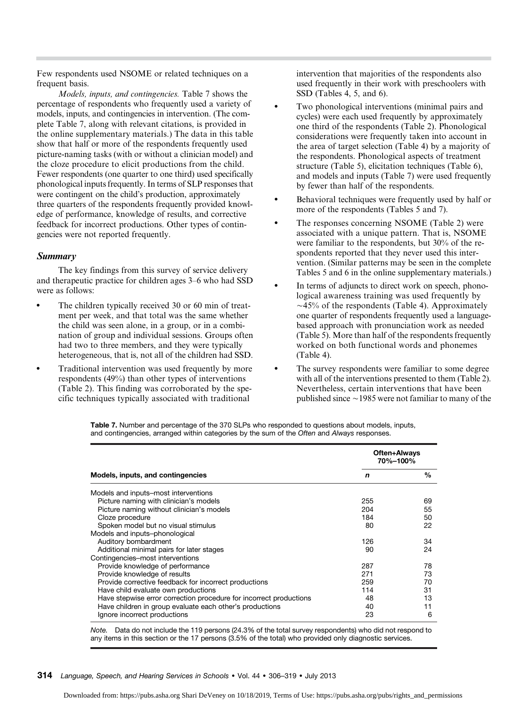Few respondents used NSOME or related techniques on a frequent basis.

Models, inputs, and contingencies. Table 7 shows the percentage of respondents who frequently used a variety of models, inputs, and contingencies in intervention. (The complete Table 7, along with relevant citations, is provided in the online supplementary materials.) The data in this table show that half or more of the respondents frequently used picture-naming tasks (with or without a clinician model) and the cloze procedure to elicit productions from the child. Fewer respondents (one quarter to one third) used specifically phonological inputs frequently. In terms of SLP responses that were contingent on the child's production, approximately three quarters of the respondents frequently provided knowledge of performance, knowledge of results, and corrective feedback for incorrect productions. Other types of contingencies were not reported frequently.

#### Summary

The key findings from this survey of service delivery and therapeutic practice for children ages 3–6 who had SSD were as follows:

- The children typically received 30 or 60 min of treatment per week, and that total was the same whether the child was seen alone, in a group, or in a combination of group and individual sessions. Groups often had two to three members, and they were typically heterogeneous, that is, not all of the children had SSD.
- Traditional intervention was used frequently by more respondents (49%) than other types of interventions (Table 2). This finding was corroborated by the specific techniques typically associated with traditional

intervention that majorities of the respondents also used frequently in their work with preschoolers with SSD (Tables 4, 5, and 6).

- Two phonological interventions (minimal pairs and cycles) were each used frequently by approximately one third of the respondents (Table 2). Phonological considerations were frequently taken into account in the area of target selection (Table 4) by a majority of the respondents. Phonological aspects of treatment structure (Table 5), elicitation techniques (Table 6), and models and inputs (Table 7) were used frequently by fewer than half of the respondents.
- Behavioral techniques were frequently used by half or more of the respondents (Tables 5 and 7).
- The responses concerning NSOME (Table 2) were associated with a unique pattern. That is, NSOME were familiar to the respondents, but 30% of the respondents reported that they never used this intervention. (Similar patterns may be seen in the complete Tables 5 and 6 in the online supplementary materials.)
- In terms of adjuncts to direct work on speech, phonological awareness training was used frequently by  $\sim$ 45% of the respondents (Table 4). Approximately one quarter of respondents frequently used a languagebased approach with pronunciation work as needed (Table 5). More than half of the respondents frequently worked on both functional words and phonemes (Table 4).
- The survey respondents were familiar to some degree with all of the interventions presented to them (Table 2). Nevertheless, certain interventions that have been published since  $\sim$  1985 were not familiar to many of the

Table 7. Number and percentage of the 370 SLPs who responded to questions about models, inputs, and contingencies, arranged within categories by the sum of the Often and Always responses.

|                                                                    | Often+Always<br>70%-100% |      |  |
|--------------------------------------------------------------------|--------------------------|------|--|
| Models, inputs, and contingencies                                  | n                        | $\%$ |  |
| Models and inputs–most interventions                               |                          |      |  |
| Picture naming with clinician's models                             | 255                      | 69   |  |
| Picture naming without clinician's models                          | 204                      | 55   |  |
| Cloze procedure                                                    | 184                      | 50   |  |
| Spoken model but no visual stimulus                                | 80                       | 22   |  |
| Models and inputs-phonological                                     |                          |      |  |
| Auditory bombardment                                               | 126                      | 34   |  |
| Additional minimal pairs for later stages                          | 90                       | 24   |  |
| Contingencies-most interventions                                   |                          |      |  |
| Provide knowledge of performance                                   | 287                      | 78   |  |
| Provide knowledge of results                                       | 271                      | 73   |  |
| Provide corrective feedback for incorrect productions              | 259                      | 70   |  |
| Have child evaluate own productions                                | 114                      | 31   |  |
| Have stepwise error correction procedure for incorrect productions | 48                       | 13   |  |
| Have children in group evaluate each other's productions           | 40                       | 11   |  |
| Ignore incorrect productions                                       | 23                       | 6    |  |

Note. Data do not include the 119 persons (24.3% of the total survey respondents) who did not respond to any items in this section or the 17 persons (3.5% of the total) who provided only diagnostic services.

#### 314 Language, Speech, and Hearing Services in Schools • Vol. 44 • 306–319 • July 2013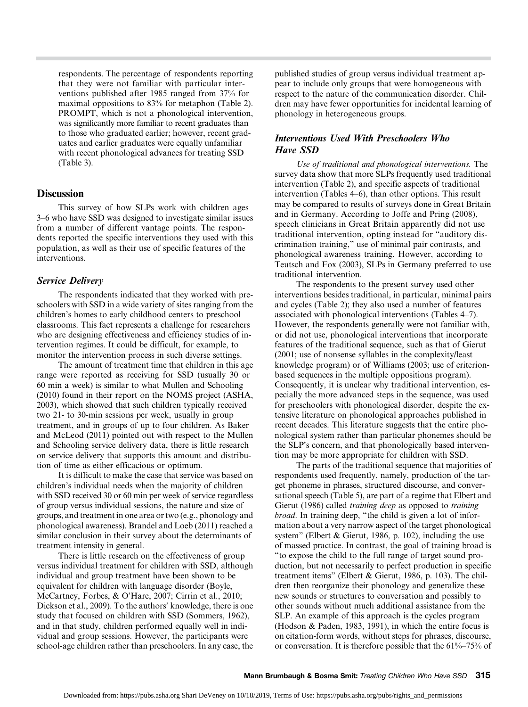respondents. The percentage of respondents reporting that they were not familiar with particular interventions published after 1985 ranged from 37% for maximal oppositions to 83% for metaphon (Table 2). PROMPT, which is not a phonological intervention, was significantly more familiar to recent graduates than to those who graduated earlier; however, recent graduates and earlier graduates were equally unfamiliar with recent phonological advances for treating SSD (Table 3).

#### **Discussion**

This survey of how SLPs work with children ages 3–6 who have SSD was designed to investigate similar issues from a number of different vantage points. The respondents reported the specific interventions they used with this population, as well as their use of specific features of the interventions.

#### Service Delivery

The respondents indicated that they worked with preschoolers with SSD in a wide variety of sites ranging from the children's homes to early childhood centers to preschool classrooms. This fact represents a challenge for researchers who are designing effectiveness and efficiency studies of intervention regimes. It could be difficult, for example, to monitor the intervention process in such diverse settings.

The amount of treatment time that children in this age range were reported as receiving for SSD (usually 30 or 60 min a week) is similar to what Mullen and Schooling (2010) found in their report on the NOMS project (ASHA, 2003), which showed that such children typically received two 21- to 30-min sessions per week, usually in group treatment, and in groups of up to four children. As Baker and McLeod (2011) pointed out with respect to the Mullen and Schooling service delivery data, there is little research on service delivery that supports this amount and distribution of time as either efficacious or optimum.

It is difficult to make the case that service was based on children's individual needs when the majority of children with SSD received 30 or 60 min per week of service regardless of group versus individual sessions, the nature and size of groups, and treatment in one area or two (e.g., phonology and phonological awareness). Brandel and Loeb (2011) reached a similar conclusion in their survey about the determinants of treatment intensity in general.

There is little research on the effectiveness of group versus individual treatment for children with SSD, although individual and group treatment have been shown to be equivalent for children with language disorder (Boyle, McCartney, Forbes, & O'Hare, 2007; Cirrin et al., 2010; Dickson et al., 2009). To the authors' knowledge, there is one study that focused on children with SSD (Sommers, 1962), and in that study, children performed equally well in individual and group sessions. However, the participants were school-age children rather than preschoolers. In any case, the published studies of group versus individual treatment appear to include only groups that were homogeneous with respect to the nature of the communication disorder. Children may have fewer opportunities for incidental learning of phonology in heterogeneous groups.

### Interventions Used With Preschoolers Who Have SSD

Use of traditional and phonological interventions. The survey data show that more SLPs frequently used traditional intervention (Table 2), and specific aspects of traditional intervention (Tables 4–6), than other options. This result may be compared to results of surveys done in Great Britain and in Germany. According to Joffe and Pring (2008), speech clinicians in Great Britain apparently did not use traditional intervention, opting instead for "auditory discrimination training," use of minimal pair contrasts, and phonological awareness training. However, according to Teutsch and Fox (2003), SLPs in Germany preferred to use traditional intervention.

The respondents to the present survey used other interventions besides traditional, in particular, minimal pairs and cycles (Table 2); they also used a number of features associated with phonological interventions (Tables 4–7). However, the respondents generally were not familiar with, or did not use, phonological interventions that incorporate features of the traditional sequence, such as that of Gierut (2001; use of nonsense syllables in the complexity/least knowledge program) or of Williams (2003; use of criterionbased sequences in the multiple oppositions program). Consequently, it is unclear why traditional intervention, especially the more advanced steps in the sequence, was used for preschoolers with phonological disorder, despite the extensive literature on phonological approaches published in recent decades. This literature suggests that the entire phonological system rather than particular phonemes should be the SLP's concern, and that phonologically based intervention may be more appropriate for children with SSD.

The parts of the traditional sequence that majorities of respondents used frequently, namely, production of the target phoneme in phrases, structured discourse, and conversational speech (Table 5), are part of a regime that Elbert and Gierut (1986) called training deep as opposed to training broad. In training deep, "the child is given a lot of information about a very narrow aspect of the target phonological system" (Elbert & Gierut, 1986, p. 102), including the use of massed practice. In contrast, the goal of training broad is "to expose the child to the full range of target sound production, but not necessarily to perfect production in specific treatment items" (Elbert & Gierut, 1986, p. 103). The children then reorganize their phonology and generalize these new sounds or structures to conversation and possibly to other sounds without much additional assistance from the SLP. An example of this approach is the cycles program (Hodson & Paden, 1983, 1991), in which the entire focus is on citation-form words, without steps for phrases, discourse, or conversation. It is therefore possible that the 61%–75% of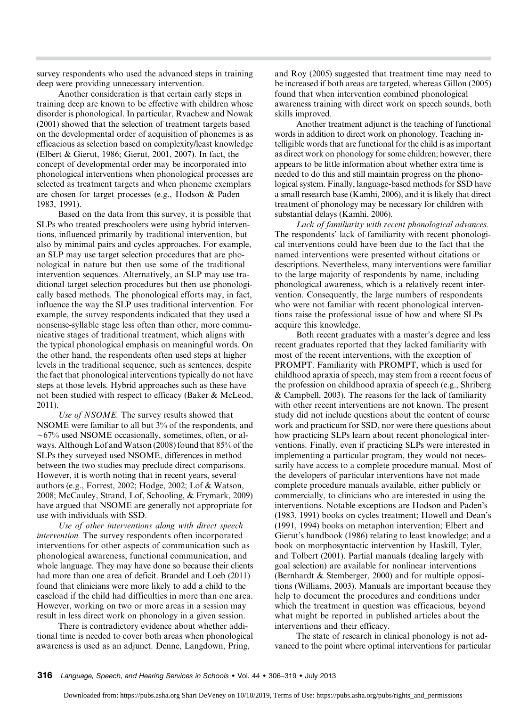survey respondents who used the advanced steps in training deep were providing unnecessary intervention.

Another consideration is that certain early steps in training deep are known to be effective with children whose disorder is phonological. In particular, Rvachew and Nowak (2001) showed that the selection of treatment targets based on the developmental order of acquisition of phonemes is as efficacious as selection based on complexity/least knowledge (Elbert & Gierut, 1986; Gierut, 2001, 2007). In fact, the concept of developmental order may be incorporated into phonological interventions when phonological processes are selected as treatment targets and when phoneme exemplars are chosen for target processes (e.g., Hodson & Paden 1983, 1991).

Based on the data from this survey, it is possible that SLPs who treated preschoolers were using hybrid interventions, influenced primarily by traditional intervention, but also by minimal pairs and cycles approaches. For example, an SLP may use target selection procedures that are phonological in nature but then use some of the traditional intervention sequences. Alternatively, an SLP may use traditional target selection procedures but then use phonologically based methods. The phonological efforts may, in fact, influence the way the SLP uses traditional intervention. For example, the survey respondents indicated that they used a nonsense-syllable stage less often than other, more communicative stages of traditional treatment, which aligns with the typical phonological emphasis on meaningful words. On the other hand, the respondents often used steps at higher levels in the traditional sequence, such as sentences, despite the fact that phonological interventions typically do not have steps at those levels. Hybrid approaches such as these have not been studied with respect to efficacy (Baker & McLeod, 2011).

Use of NSOME. The survey results showed that NSOME were familiar to all but 3% of the respondents, and  $\sim$  67% used NSOME occasionally, sometimes, often, or always. Although Lof and Watson (2008) found that 85% of the SLPs they surveyed used NSOME, differences in method between the two studies may preclude direct comparisons. However, it is worth noting that in recent years, several authors (e.g., Forrest, 2002; Hodge, 2002; Lof & Watson, 2008; McCauley, Strand, Lof, Schooling, & Frymark, 2009) have argued that NSOME are generally not appropriate for use with individuals with SSD.

Use of other interventions along with direct speech intervention. The survey respondents often incorporated interventions for other aspects of communication such as phonological awareness, functional communication, and whole language. They may have done so because their clients had more than one area of deficit. Brandel and Loeb (2011) found that clinicians were more likely to add a child to the caseload if the child had difficulties in more than one area. However, working on two or more areas in a session may result in less direct work on phonology in a given session.

There is contradictory evidence about whether additional time is needed to cover both areas when phonological awareness is used as an adjunct. Denne, Langdown, Pring,

and Roy (2005) suggested that treatment time may need to be increased if both areas are targeted, whereas Gillon (2005) found that when intervention combined phonological awareness training with direct work on speech sounds, both skills improved.

Another treatment adjunct is the teaching of functional words in addition to direct work on phonology. Teaching intelligible words that are functional for the child is as important as direct work on phonology for some children; however, there appears to be little information about whether extra time is needed to do this and still maintain progress on the phonological system. Finally, language-based methods for SSD have a small research base (Kamhi, 2006), and it is likely that direct treatment of phonology may be necessary for children with substantial delays (Kamhi, 2006).

Lack of familiarity with recent phonological advances. The respondents' lack of familiarity with recent phonological interventions could have been due to the fact that the named interventions were presented without citations or descriptions. Nevertheless, many interventions were familiar to the large majority of respondents by name, including phonological awareness, which is a relatively recent intervention. Consequently, the large numbers of respondents who were not familiar with recent phonological interventions raise the professional issue of how and where SLPs acquire this knowledge.

Both recent graduates with a master's degree and less recent graduates reported that they lacked familiarity with most of the recent interventions, with the exception of PROMPT. Familiarity with PROMPT, which is used for childhood apraxia of speech, may stem from a recent focus of the profession on childhood apraxia of speech (e.g., Shriberg & Campbell, 2003). The reasons for the lack of familiarity with other recent interventions are not known. The present study did not include questions about the content of course work and practicum for SSD, nor were there questions about how practicing SLPs learn about recent phonological interventions. Finally, even if practicing SLPs were interested in implementing a particular program, they would not necessarily have access to a complete procedure manual. Most of the developers of particular interventions have not made complete procedure manuals available, either publicly or commercially, to clinicians who are interested in using the interventions. Notable exceptions are Hodson and Paden's (1983, 1991) books on cycles treatment; Howell and Dean's (1991, 1994) books on metaphon intervention; Elbert and Gierut's handbook (1986) relating to least knowledge; and a book on morphosyntactic intervention by Haskill, Tyler, and Tolbert (2001). Partial manuals (dealing largely with goal selection) are available for nonlinear interventions (Bernhardt & Stemberger, 2000) and for multiple oppositions (Williams, 2003). Manuals are important because they help to document the procedures and conditions under which the treatment in question was efficacious, beyond what might be reported in published articles about the interventions and their efficacy.

The state of research in clinical phonology is not advanced to the point where optimal interventions for particular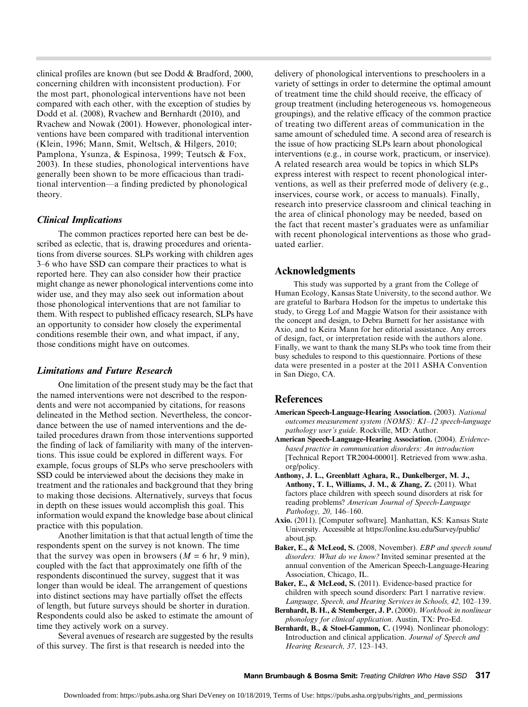clinical profiles are known (but see Dodd & Bradford, 2000, concerning children with inconsistent production). For the most part, phonological interventions have not been compared with each other, with the exception of studies by Dodd et al. (2008), Rvachew and Bernhardt (2010), and Rvachew and Nowak (2001). However, phonological interventions have been compared with traditional intervention (Klein, 1996; Mann, Smit, Weltsch, & Hilgers, 2010; Pamplona, Ysunza, & Espinosa, 1999; Teutsch & Fox, 2003). In these studies, phonological interventions have generally been shown to be more efficacious than traditional intervention—a finding predicted by phonological theory.

#### Clinical Implications

The common practices reported here can best be described as eclectic, that is, drawing procedures and orientations from diverse sources. SLPs working with children ages 3–6 who have SSD can compare their practices to what is reported here. They can also consider how their practice might change as newer phonological interventions come into wider use, and they may also seek out information about those phonological interventions that are not familiar to them. With respect to published efficacy research, SLPs have an opportunity to consider how closely the experimental conditions resemble their own, and what impact, if any, those conditions might have on outcomes.

#### Limitations and Future Research

One limitation of the present study may be the fact that the named interventions were not described to the respondents and were not accompanied by citations, for reasons delineated in the Method section. Nevertheless, the concordance between the use of named interventions and the detailed procedures drawn from those interventions supported the finding of lack of familiarity with many of the interventions. This issue could be explored in different ways. For example, focus groups of SLPs who serve preschoolers with SSD could be interviewed about the decisions they make in treatment and the rationales and background that they bring to making those decisions. Alternatively, surveys that focus in depth on these issues would accomplish this goal. This information would expand the knowledge base about clinical practice with this population.

Another limitation is that that actual length of time the respondents spent on the survey is not known. The time that the survey was open in browsers  $(M = 6 \text{ hr}, 9 \text{ min})$ , coupled with the fact that approximately one fifth of the respondents discontinued the survey, suggest that it was longer than would be ideal. The arrangement of questions into distinct sections may have partially offset the effects of length, but future surveys should be shorter in duration. Respondents could also be asked to estimate the amount of time they actively work on a survey.

Several avenues of research are suggested by the results of this survey. The first is that research is needed into the

delivery of phonological interventions to preschoolers in a variety of settings in order to determine the optimal amount of treatment time the child should receive, the efficacy of group treatment (including heterogeneous vs. homogeneous groupings), and the relative efficacy of the common practice of treating two different areas of communication in the same amount of scheduled time. A second area of research is the issue of how practicing SLPs learn about phonological interventions (e.g., in course work, practicum, or inservice). A related research area would be topics in which SLPs express interest with respect to recent phonological interventions, as well as their preferred mode of delivery (e.g., inservices, course work, or access to manuals). Finally, research into preservice classroom and clinical teaching in the area of clinical phonology may be needed, based on the fact that recent master's graduates were as unfamiliar with recent phonological interventions as those who graduated earlier.

#### Acknowledgments

This study was supported by a grant from the College of Human Ecology, Kansas State University, to the second author. We are grateful to Barbara Hodson for the impetus to undertake this study, to Gregg Lof and Maggie Watson for their assistance with the concept and design, to Debra Burnett for her assistance with Axio, and to Keira Mann for her editorial assistance. Any errors of design, fact, or interpretation reside with the authors alone. Finally, we want to thank the many SLPs who took time from their busy schedules to respond to this questionnaire. Portions of these data were presented in a poster at the 2011 ASHA Convention in San Diego, CA.

#### **References**

- American Speech-Language-Hearing Association. (2003). National outcomes measurement system (NOMS): K1–12 speech-language pathology user's guide. Rockville, MD: Author.
- American Speech-Language-Hearing Association. (2004). Evidencebased practice in communication disorders: An introduction [Technical Report TR2004-00001]. Retrieved from www.asha. org/policy.
- Anthony, J. L., Greenblatt Aghara, R., Dunkelberger, M. J., Anthony, T. I., Williams, J. M., & Zhang, Z. (2011). What factors place children with speech sound disorders at risk for reading problems? American Journal of Speech-Language Pathology, 20, 146–160.
- Axio. (2011). [Computer software]. Manhattan, KS: Kansas State University. Accessible at https://online.ksu.edu/Survey/public/ about.jsp.
- Baker, E., & McLeod, S. (2008, November). EBP and speech sound disorders: What do we know? Invited seminar presented at the annual convention of the American Speech-Language-Hearing Association, Chicago, IL.
- Baker, E., & McLeod, S. (2011). Evidence-based practice for children with speech sound disorders: Part 1 narrative review. Language, Speech, and Hearing Services in Schools, 42, 102–139.
- Bernhardt, B. H., & Stemberger, J. P. (2000). Workbook in nonlinear phonology for clinical application. Austin, TX: Pro-Ed.
- Bernhardt, B., & Stoel-Gammon, C. (1994). Nonlinear phonology: Introduction and clinical application. Journal of Speech and Hearing Research, 37, 123–143.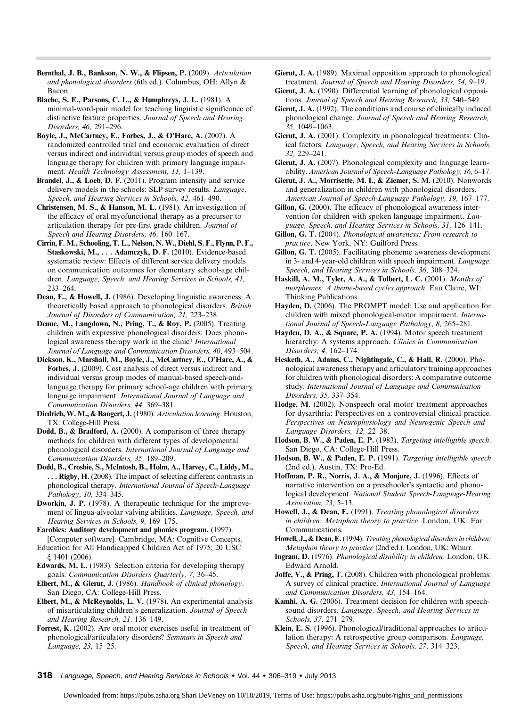- Bernthal, J. B., Bankson, N. W., & Flipsen, P. (2009). Articulation and phonological disorders (6th ed.). Columbus, OH: Allyn & Bacon.
- Blache, S. E., Parsons, C. L., & Humphreys, J. L. (1981). A minimal-word-pair model for teaching linguistic significance of distinctive feature properties. Journal of Speech and Hearing Disorders, 46, 291–296.
- Boyle, J., McCartney, E., Forbes, J., & O'Hare, A. (2007). A randomized controlled trial and economic evaluation of direct versus indirect and individual versus group modes of speech and language therapy for children with primary language impairment. Health Technology Assessment, 11, 1-139.
- Brandel, J., & Loeb, D. F. (2011). Program intensity and service delivery models in the schools: SLP survey results. Language, Speech, and Hearing Services in Schools, 42, 461–490.
- Christensen, M. S., & Hanson, M. L. (1981). An investigation of the efficacy of oral myofunctional therapy as a precursor to articulation therapy for pre-first grade children. Journal of Speech and Hearing Disorders, 46, 160–167.
- Cirrin, F. M., Schooling, T. L., Nelson, N. W., Diehl, S. F., Flynn, P. F., Staskowski, M., . . . Adamczyk, D. F. (2010). Evidence-based systematic review: Effects of different service delivery models on communication outcomes for elementary school-age children. Language, Speech, and Hearing Services in Schools, 41, 233–264.
- Dean, E., & Howell, J. (1986). Developing linguistic awareness: A theoretically based approach to phonological disorders. British Journal of Disorders of Communication, 21, 223–238.
- Denne, M., Langdown, N., Pring, T., & Roy, P. (2005). Treating children with expressive phonological disorders: Does phonological awareness therapy work in the clinic? International Journal of Language and Communication Disorders, 40, 493–504.
- Dickson, K., Marshall, M., Boyle, J., McCartney, E., O'Hare, A., & Forbes, J. (2009). Cost analysis of direct versus indirect and individual versus group modes of manual-based speech-andlanguage therapy for primary school-age children with primary language impairment. International Journal of Language and Communication Disorders, 44, 369–381.
- Diedrich, W. M., & Bangert, J. (1980). Articulation learning. Houston, TX: College-Hill Press.
- Dodd, B., & Bradford, A. (2000). A comparison of three therapy methods for children with different types of developmental phonological disorders. International Journal of Language and Communication Disorders, 35, 189–209.
- Dodd, B., Crosbie, S., McIntosh, B., Holm, A., Harvey, C., Liddy, M., ... Rigby, H. (2008). The impact of selecting different contrasts in phonological therapy. International Journal of Speech-Language Pathology, 10, 334–345.
- Dworkin, J. P. (1978). A therapeutic technique for the improvement of lingua-alveolar valving abilities. Language, Speech, and Hearing Services in Schools, 9, 169–175.
- Earobics: Auditory development and phonics program. (1997). [Computer software]. Cambridge, MA: Cognitive Concepts.
- Education for All Handicapped Children Act of 1975; 20 USC ξ 1401 (2006).
- Edwards, M. L. (1983). Selection criteria for developing therapy goals. Communication Disorders Quarterly, 7, 36–45.
- Elbert, M., & Gierut, J. (1986). Handbook of clinical phonology. San Diego, CA: College-Hill Press.
- Elbert, M., & McReynolds, L. V. (1978). An experimental analysis of misarticulating children's generalization. Journal of Speech and Hearing Research, 21, 136–149.
- Forrest, K. (2002). Are oral motor exercises useful in treatment of phonological/articulatory disorders? Seminars in Speech and Language, 23, 15–25.
- Gierut, J. A. (1989). Maximal opposition approach to phonological treatment. Journal of Speech and Hearing Disorders, 54, 9–19.
- Gierut, J. A. (1990). Differential learning of phonological oppositions. Journal of Speech and Hearing Research, 33, 540–549.
- Gierut, J. A. (1992). The conditions and course of clinically induced phonological change. Journal of Speech and Hearing Research, 35, 1049–1063.
- Gierut, J. A. (2001). Complexity in phonological treatments: Clinical factors. Language, Speech, and Hearing Services in Schools, 32, 229–241.
- Gierut, J. A. (2007). Phonological complexity and language learnability. American Journal of Speech-Language Pathology, 16, 6–17.
- Gierut, J. A., Morrisette, M. I., & Ziemer, S. M. (2010). Nonwords and generalization in children with phonological disorders. American Journal of Speech-Language Pathology, 19, 167–177.
- Gillon, G. (2000). The efficacy of phonological awareness intervention for children with spoken language impairment. Language, Speech, and Hearing Services in Schools, 31, 126–141.
- Gillon, G. T. (2004). Phonological awareness: From research to practice. New York, NY: Guilford Press.
- Gillon, G. T. (2005). Facilitating phoneme awareness development in 3- and 4-year-old children with speech impairment. Language, Speech, and Hearing Services in Schools, 36, 308–324.
- Haskill, A. M., Tyler, A. A., & Tolbert, L. C. (2001). Months of morphemes: A theme-based cycles approach. Eau Claire, WI: Thinking Publications.
- Hayden, D. (2006). The PROMPT model: Use and application for children with mixed phonological-motor impairment. International Journal of Speech-Language Pathology, 8, 265–281.
- Hayden, D. A., & Square, P. A. (1994). Motor speech treatment hierarchy: A systems approach. Clinics in Communication Disorders, 4, 162–174.
- Hesketh, A., Adams, C., Nightingale, C., & Hall, R. (2000). Phonological awareness therapy and articulatory training approaches for children with phonological disorders: A comparative outcome study. International Journal of Language and Communication Disorders, 35, 337–354.
- Hodge, M. (2002). Nonspeech oral motor treatment approaches for dysarthria: Perspectives on a controversial clinical practice. Perspectives on Neurophysiology and Neurogenic Speech and Language Disorders, 12, 22–38.
- Hodson, B. W., & Paden, E. P. (1983). Targeting intelligible speech. San Diego, CA: College-Hill Press.
- Hodson, B. W., & Paden, E. P. (1991). Targeting intelligible speech (2nd ed.). Austin, TX: Pro-Ed.
- Hoffman, P. R., Norris, J. A., & Monjure, J. (1996). Effects of narrative intervention on a preschooler's syntactic and phonological development. National Student Speech-Language-Hearing Association, 23, 5–13.
- Howell, J., & Dean, E. (1991). Treating phonological disorders in children: Metaphon theory to practice. London, UK: Far Communications.
- Howell, J., & Dean, E. (1994). Treating phonological disorders in children: Metaphon theory to practice (2nd ed.). London, UK: Whurr.
- Ingram, D. (1976). Phonological disability in children. London, UK: Edward Arnold.
- Joffe, V., & Pring, T. (2008). Children with phonological problems: A survey of clinical practice. International Journal of Language and Communication Disorders, 43, 154–164.
- Kamhi, A. G. (2006). Treatment decision for children with speechsound disorders. Language, Speech, and Hearing Services in Schools, 37, 271–279.
- Klein, E. S. (1996). Phonological/traditional approaches to articulation therapy: A retrospective group comparison. Language, Speech, and Hearing Services in Schools, 27, 314–323.